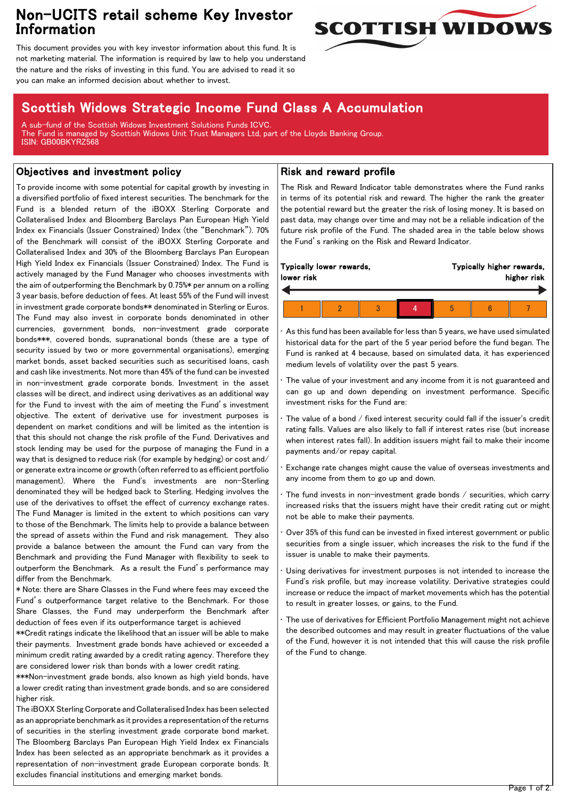# Non-UCITS retail scheme Key Investor Information



This document provides you with key investor information about this fund. It is not marketing material. The information is required by law to help you understand the nature and the risks of investing in this fund. You are advised to read it so you can make an informed decision about whether to invest.

# Scottish Widows Strategic Income Fund Class A Accumulation

A sub-fund of the Scottish Widows Investment Solutions Funds ICVC. The Fund is managed by Scottish Widows Unit Trust Managers Ltd, part of the Lloyds Banking Group. ISIN: GB00BKYRZ568

## Objectives and investment policy

To provide income with some potential for capital growth by investing in a diversified portfolio of fixed interest securities. The benchmark for the Fund is a blended return of the iBOXX Sterling Corporate and Collateralised Index and Bloomberg Barclays Pan European High Yield Index ex Financials (Issuer Constrained) Index (the "Benchmark"). 70% of the Benchmark will consist of the iBOXX Sterling Corporate and Collateralised Index and 30% of the Bloomberg Barclays Pan European High Yield Index ex Financials (Issuer Constrained) Index. The Fund is actively managed by the Fund Manager who chooses investments with the aim of outperforming the Benchmark by 0.75%\* per annum on a rolling 3 year basis, before deduction of fees. At least 55% of the Fund will invest in investment grade corporate bonds\*\* denominated in Sterling or Euros. The Fund may also invest in corporate bonds denominated in other currencies, government bonds, non-investment grade corporate bonds\*\*\*, covered bonds, supranational bonds (these are a type of security issued by two or more governmental organisations), emerging market bonds, asset backed securities such as securitised loans, cash and cash like investments. Not more than 45% of the fund can be invested in non-investment grade corporate bonds. Investment in the asset classes will be direct, and indirect using derivatives as an additional way for the Fund to invest with the aim of meeting the Fund's investment objective. The extent of derivative use for investment purposes is dependent on market conditions and will be limited as the intention is that this should not change the risk profile of the Fund. Derivatives and stock lending may be used for the purpose of managing the Fund in a way that is designed to reduce risk (for example by hedging) or cost and/ or generate extra income or growth (often referred to as efficient portfolio management). Where the Fund's investments are non-Sterling denominated they will be hedged back to Sterling. Hedging involves the use of the derivatives to offset the effect of currency exchange rates. The Fund Manager is limited in the extent to which positions can vary to those of the Benchmark. The limits help to provide a balance between the spread of assets within the Fund and risk management. They also provide a balance between the amount the Fund can vary from the Benchmark and providing the Fund Manager with flexibility to seek to outperform the Benchmark. As a result the Fund's performance may differ from the Benchmark.

\* Note: there are Share Classes in the Fund where fees may exceed the Fund's outperformance target relative to the Benchmark. For those Share Classes, the Fund may underperform the Benchmark after deduction of fees even if its outperformance target is achieved

\*\*Credit ratings indicate the likelihood that an issuer will be able to make their payments. Investment grade bonds have achieved or exceeded a minimum credit rating awarded by a credit rating agency. Therefore they are considered lower risk than bonds with a lower credit rating.

\*\*\*Non-investment grade bonds, also known as high yield bonds, have a lower credit rating than investment grade bonds, and so are considered higher risk.

The iBOXX Sterling Corporate and Collateralised Index has been selected as an appropriate benchmark as it provides a representation of the returns of securities in the sterling investment grade corporate bond market. The Bloomberg Barclays Pan European High Yield Index ex Financials Index has been selected as an appropriate benchmark as it provides a representation of non-investment grade European corporate bonds. It excludes financial institutions and emerging market bonds.

### Risk and reward profile

The Risk and Reward Indicator table demonstrates where the Fund ranks in terms of its potential risk and reward. The higher the rank the greater the potential reward but the greater the risk of losing money. It is based on past data, may change over time and may not be a reliable indication of the future risk profile of the Fund. The shaded area in the table below shows the Fund's ranking on the Risk and Reward Indicator.

| Typically lower rewards, |  |  |  | Typically higher rewards, |  |  |
|--------------------------|--|--|--|---------------------------|--|--|
| lower risk               |  |  |  | higher risk               |  |  |
|                          |  |  |  |                           |  |  |

• As this fund has been available for less than 5 years, we have used simulated historical data for the part of the 5 year period before the fund began. The Fund is ranked at 4 because, based on simulated data, it has experienced medium levels of volatility over the past 5 years.

The value of your investment and any income from it is not guaranteed and can go up and down depending on investment performance. Specific investment risks for the Fund are:

The value of a bond / fixed interest security could fall if the issuer's credit rating falls. Values are also likely to fall if interest rates rise (but increase when interest rates fall). In addition issuers might fail to make their income payments and/or repay capital.

• Exchange rate changes might cause the value of overseas investments and any income from them to go up and down.

The fund invests in non-investment grade bonds / securities, which carry increased risks that the issuers might have their credit rating cut or might not be able to make their payments.

• Over 35% of this fund can be invested in fixed interest government or public securities from a single issuer, which increases the risk to the fund if the issuer is unable to make their payments.

Using derivatives for investment purposes is not intended to increase the Fund's risk profile, but may increase volatility. Derivative strategies could increase or reduce the impact of market movements which has the potential to result in greater losses, or gains, to the Fund.

The use of derivatives for Efficient Portfolio Management might not achieve the described outcomes and may result in greater fluctuations of the value of the Fund, however it is not intended that this will cause the risk profile of the Fund to change.